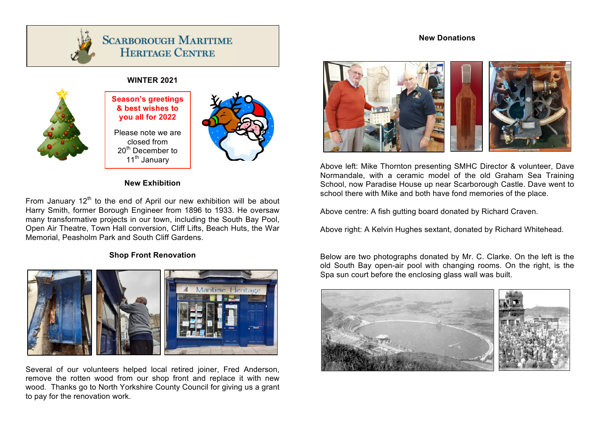



# **SCARBOROUGH MARITIME HERITAGE CENTRE**

## **WINTER 2021**



**Season's greetings & best wishes to you all for 2022**

Please note we are closed from 20<sup>th</sup> December to 11<sup>th</sup> January



### **New Exhibition**

From January  $12<sup>th</sup>$  to the end of April our new exhibition will be about Harry Smith, former Borough Engineer from 1896 to 1933. He oversaw many transformative projects in our town, including the South Bay Pool, Open Air Theatre, Town Hall conversion, Cliff Lifts, Beach Huts, the War Memorial, Peasholm Park and South Cliff Gardens.

### **Shop Front Renovation**



Several of our volunteers helped local retired joiner, Fred Anderson, remove the rotten wood from our shop front and replace it with new wood. Thanks go to North Yorkshire County Council for giving us a grant to pay for the renovation work.



Above left: Mike Thornton presenting SMHC Director & volunteer, Dave Normandale, with a ceramic model of the old Graham Sea Training School, now Paradise House up near Scarborough Castle. Dave went to school there with Mike and both have fond memories of the place.

Above centre: A fish gutting board donated by Richard Craven.

Above right: A Kelvin Hughes sextant, donated by Richard Whitehead.

Below are two photographs donated by Mr. C. Clarke. On the left is the old South Bay open-air pool with changing rooms. On the right, is the Spa sun court before the enclosing glass wall was built.